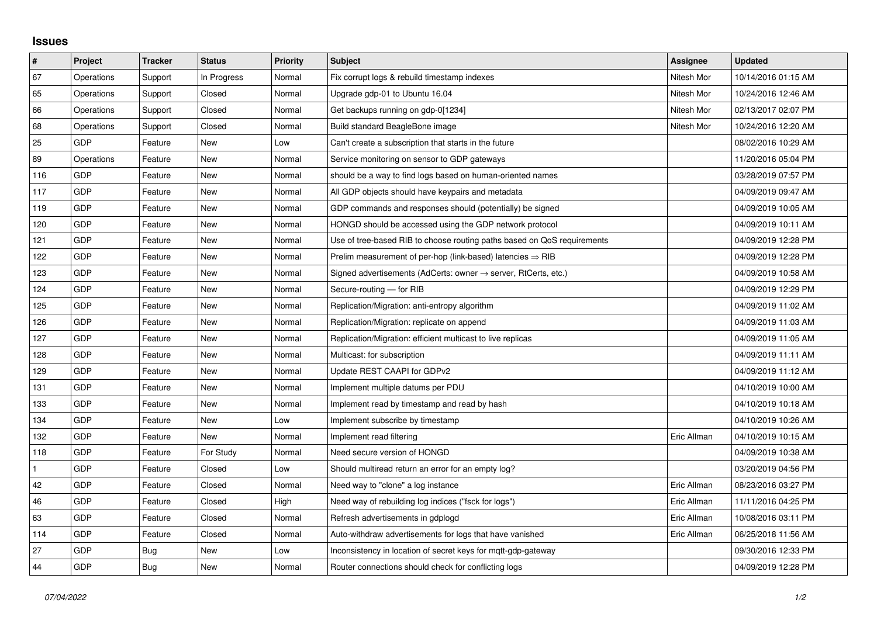## **Issues**

| $\vert$ #    | Project    | <b>Tracker</b> | <b>Status</b> | <b>Priority</b> | <b>Subject</b>                                                             | <b>Assignee</b> | <b>Updated</b>      |
|--------------|------------|----------------|---------------|-----------------|----------------------------------------------------------------------------|-----------------|---------------------|
| 67           | Operations | Support        | In Progress   | Normal          | Fix corrupt logs & rebuild timestamp indexes                               | Nitesh Mor      | 10/14/2016 01:15 AM |
| 65           | Operations | Support        | Closed        | Normal          | Upgrade gdp-01 to Ubuntu 16.04                                             | Nitesh Mor      | 10/24/2016 12:46 AM |
| 66           | Operations | Support        | Closed        | Normal          | Get backups running on gdp-0[1234]                                         | Nitesh Mor      | 02/13/2017 02:07 PM |
| 68           | Operations | Support        | Closed        | Normal          | Build standard BeagleBone image                                            | Nitesh Mor      | 10/24/2016 12:20 AM |
| 25           | GDP        | Feature        | New           | Low             | Can't create a subscription that starts in the future                      |                 | 08/02/2016 10:29 AM |
| 89           | Operations | Feature        | New           | Normal          | Service monitoring on sensor to GDP gateways                               |                 | 11/20/2016 05:04 PM |
| 116          | GDP        | Feature        | New           | Normal          | should be a way to find logs based on human-oriented names                 |                 | 03/28/2019 07:57 PM |
| 117          | GDP        | Feature        | New           | Normal          | All GDP objects should have keypairs and metadata                          |                 | 04/09/2019 09:47 AM |
| 119          | GDP        | Feature        | New           | Normal          | GDP commands and responses should (potentially) be signed                  |                 | 04/09/2019 10:05 AM |
| 120          | GDP        | Feature        | New           | Normal          | HONGD should be accessed using the GDP network protocol                    |                 | 04/09/2019 10:11 AM |
| 121          | GDP        | Feature        | New           | Normal          | Use of tree-based RIB to choose routing paths based on QoS requirements    |                 | 04/09/2019 12:28 PM |
| 122          | GDP        | Feature        | New           | Normal          | Prelim measurement of per-hop (link-based) latencies $\Rightarrow$ RIB     |                 | 04/09/2019 12:28 PM |
| 123          | GDP        | Feature        | <b>New</b>    | Normal          | Signed advertisements (AdCerts: owner $\rightarrow$ server, RtCerts, etc.) |                 | 04/09/2019 10:58 AM |
| 124          | GDP        | Feature        | New           | Normal          | Secure-routing - for RIB                                                   |                 | 04/09/2019 12:29 PM |
| 125          | GDP        | Feature        | New           | Normal          | Replication/Migration: anti-entropy algorithm                              |                 | 04/09/2019 11:02 AM |
| 126          | GDP        | Feature        | <b>New</b>    | Normal          | Replication/Migration: replicate on append                                 |                 | 04/09/2019 11:03 AM |
| 127          | GDP        | Feature        | New           | Normal          | Replication/Migration: efficient multicast to live replicas                |                 | 04/09/2019 11:05 AM |
| 128          | GDP        | Feature        | New           | Normal          | Multicast: for subscription                                                |                 | 04/09/2019 11:11 AM |
| 129          | GDP        | Feature        | <b>New</b>    | Normal          | Update REST CAAPI for GDPv2                                                |                 | 04/09/2019 11:12 AM |
| 131          | GDP        | Feature        | New           | Normal          | Implement multiple datums per PDU                                          |                 | 04/10/2019 10:00 AM |
| 133          | GDP        | Feature        | New           | Normal          | Implement read by timestamp and read by hash                               |                 | 04/10/2019 10:18 AM |
| 134          | GDP        | Feature        | New           | Low             | Implement subscribe by timestamp                                           |                 | 04/10/2019 10:26 AM |
| 132          | GDP        | Feature        | New           | Normal          | Implement read filtering                                                   | Eric Allman     | 04/10/2019 10:15 AM |
| 118          | GDP        | Feature        | For Study     | Normal          | Need secure version of HONGD                                               |                 | 04/09/2019 10:38 AM |
| $\mathbf{1}$ | GDP        | Feature        | Closed        | Low             | Should multiread return an error for an empty log?                         |                 | 03/20/2019 04:56 PM |
| 42           | GDP        | Feature        | Closed        | Normal          | Need way to "clone" a log instance                                         | Eric Allman     | 08/23/2016 03:27 PM |
| 46           | GDP        | Feature        | Closed        | High            | Need way of rebuilding log indices ("fsck for logs")                       | Eric Allman     | 11/11/2016 04:25 PM |
| 63           | GDP        | Feature        | Closed        | Normal          | Refresh advertisements in gdplogd                                          | Eric Allman     | 10/08/2016 03:11 PM |
| 114          | GDP        | Feature        | Closed        | Normal          | Auto-withdraw advertisements for logs that have vanished                   | Eric Allman     | 06/25/2018 11:56 AM |
| 27           | GDP        | Bug            | New           | Low             | Inconsistency in location of secret keys for mgtt-gdp-gateway              |                 | 09/30/2016 12:33 PM |
| 44           | GDP        | Bug            | New           | Normal          | Router connections should check for conflicting logs                       |                 | 04/09/2019 12:28 PM |